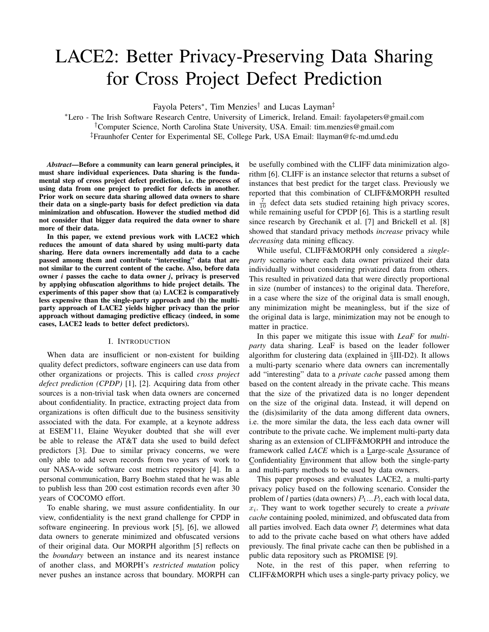# LACE2: Better Privacy-Preserving Data Sharing for Cross Project Defect Prediction

Fayola Peters<sup>∗</sup> , Tim Menzies† and Lucas Layman‡

<sup>∗</sup>Lero - The Irish Software Research Centre, University of Limerick, Ireland. Email: fayolapeters@gmail.com †Computer Science, North Carolina State University, USA. Email: tim.menzies@gmail.com ‡Fraunhofer Center for Experimental SE, College Park, USA Email: llayman@fc-md.umd.edu

*Abstract*—Before a community can learn general principles, it must share individual experiences. Data sharing is the fundamental step of cross project defect prediction, i.e. the process of using data from one project to predict for defects in another. Prior work on secure data sharing allowed data owners to share their data on a single-party basis for defect prediction via data minimization and obfuscation. However the studied method did not consider that bigger data required the data owner to share more of their data.

In this paper, we extend previous work with LACE2 which reduces the amount of data shared by using multi-party data sharing. Here data owners incrementally add data to a cache passed among them and contribute "interesting" data that are not similar to the current content of the cache. Also, before data owner *i* passes the cache to data owner *j*, privacy is preserved by applying obfuscation algorithms to hide project details. The experiments of this paper show that (a) LACE2 is comparatively less expensive than the single-party approach and (b) the multiparty approach of LACE2 yields higher privacy than the prior approach without damaging predictive efficacy (indeed, in some cases, LACE2 leads to better defect predictors).

## I. INTRODUCTION

When data are insufficient or non-existent for building quality defect predictors, software engineers can use data from other organizations or projects. This is called *cross project defect prediction (CPDP)* [1], [2]. Acquiring data from other sources is a non-trivial task when data owners are concerned about confidentiality. In practice, extracting project data from organizations is often difficult due to the business sensitivity associated with the data. For example, at a keynote address at ESEM'11, Elaine Weyuker doubted that she will ever be able to release the AT&T data she used to build defect predictors [3]. Due to similar privacy concerns, we were only able to add seven records from two years of work to our NASA-wide software cost metrics repository [4]. In a personal communication, Barry Boehm stated that he was able to publish less than 200 cost estimation records even after 30 years of COCOMO effort.

To enable sharing, we must assure confidentiality. In our view, confidentiality is the next grand challenge for CPDP in software engineering. In previous work [5], [6], we allowed data owners to generate minimized and obfuscated versions of their original data. Our MORPH algorithm [5] reflects on the *boundary* between an instance and its nearest instance of another class, and MORPH's *restricted mutation* policy never pushes an instance across that boundary. MORPH can be usefully combined with the CLIFF data minimization algorithm [6]. CLIFF is an instance selector that returns a subset of instances that best predict for the target class. Previously we reported that this combination of CLIFF&MORPH resulted in  $\frac{7}{10}$  defect data sets studied retaining high privacy scores, while remaining useful for CPDP [6]. This is a startling result since research by Grechanik et al. [7] and Brickell et al. [8] showed that standard privacy methods *increase* privacy while *decreasing* data mining efficacy.

While useful, CLIFF&MORPH only considered a *singleparty* scenario where each data owner privatized their data individually without considering privatized data from others. This resulted in privatized data that were directly proportional in size (number of instances) to the original data. Therefore, in a case where the size of the original data is small enough, any minimization might be meaningless, but if the size of the original data is large, minimization may not be enough to matter in practice.

In this paper we mitigate this issue with *LeaF* for *multiparty* data sharing. LeaF is based on the leader follower algorithm for clustering data (explained in §III-D2). It allows a multi-party scenario where data owners can incrementally add "interesting" data to a *private cache* passed among them based on the content already in the private cache. This means that the size of the privatized data is no longer dependent on the size of the original data. Instead, it will depend on the (dis)similarity of the data among different data owners, i.e. the more similar the data, the less each data owner will contribute to the private cache. We implement multi-party data sharing as an extension of CLIFF&MORPH and introduce the framework called *LACE* which is a Large-scale Assurance of Confidentiality Environment that allow both the single-party and multi-party methods to be used by data owners.

This paper proposes and evaluates LACE2, a multi-party privacy policy based on the following scenario. Consider the problem of *l* parties (data owners)  $P_1...P_l$ , each with local data, xi . They want to work together securely to create a *private cache* containing pooled, minimized, and obfuscated data from all parties involved. Each data owner  $P_i$  determines what data to add to the private cache based on what others have added previously. The final private cache can then be published in a public data repository such as PROMISE [9].

Note, in the rest of this paper, when referring to CLIFF&MORPH which uses a single-party privacy policy, we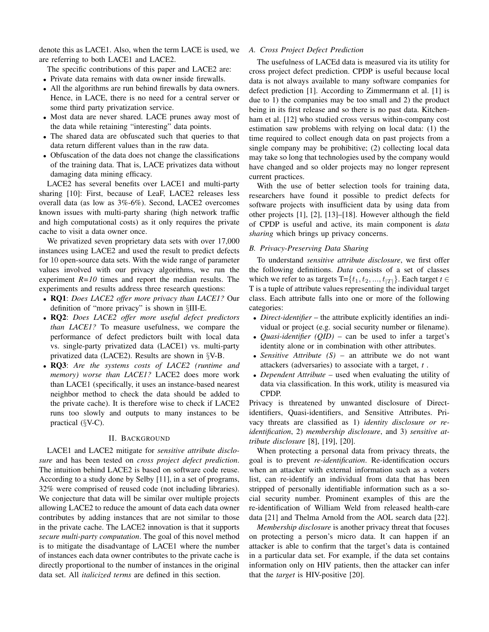denote this as LACE1. Also, when the term LACE is used, we are referring to both LACE1 and LACE2.

The specific contributions of this paper and LACE2 are:

- Private data remains with data owner inside firewalls.
- All the algorithms are run behind firewalls by data owners. Hence, in LACE, there is no need for a central server or some third party privatization service.
- Most data are never shared. LACE prunes away most of the data while retaining "interesting" data points.
- The shared data are obfuscated such that queries to that data return different values than in the raw data.
- Obfuscation of the data does not change the classifications of the training data. That is, LACE privatizes data without damaging data mining efficacy.

LACE2 has several benefits over LACE1 and multi-party sharing [10]: First, because of LeaF, LACE2 releases less overall data (as low as 3%-6%). Second, LACE2 overcomes known issues with multi-party sharing (high network traffic and high computational costs) as it only requires the private cache to visit a data owner once.

We privatized seven proprietary data sets with over 17,000 instances using LACE2 and used the result to predict defects for 10 open-source data sets. With the wide range of parameter values involved with our privacy algorithms, we run the experiment *R=10* times and report the median results. The experiments and results address three research questions:

- RQ1: *Does LACE2 offer more privacy than LACE1?* Our definition of "more privacy" is shown in §III-E.
- RQ2: *Does LACE2 offer more useful defect predictors than LACE1?* To measure usefulness, we compare the performance of defect predictors built with local data vs. single-party privatized data (LACE1) vs. multi-party privatized data (LACE2). Results are shown in §V-B.
- RQ3: *Are the systems costs of LACE2 (runtime and memory) worse than LACE1?* LACE2 does more work than LACE1 (specifically, it uses an instance-based nearest neighbor method to check the data should be added to the private cache). It is therefore wise to check if LACE2 runs too slowly and outputs to many instances to be practical (§V-C).

## II. BACKGROUND

LACE1 and LACE2 mitigate for *sensitive attribute disclosure* and has been tested on *cross project defect prediction*. The intuition behind LACE2 is based on software code reuse. According to a study done by Selby [11], in a set of programs, 32% were comprised of reused code (not including libraries). We conjecture that data will be similar over multiple projects allowing LACE2 to reduce the amount of data each data owner contributes by adding instances that are not similar to those in the private cache. The LACE2 innovation is that it supports *secure multi-party computation*. The goal of this novel method is to mitigate the disadvantage of LACE1 where the number of instances each data owner contributes to the private cache is directly proportional to the number of instances in the original data set. All *italicized terms* are defined in this section.

## *A. Cross Project Defect Prediction*

The usefulness of LACEd data is measured via its utility for cross project defect prediction. CPDP is useful because local data is not always available to many software companies for defect prediction [1]. According to Zimmermann et al. [1] is due to 1) the companies may be too small and 2) the product being in its first release and so there is no past data. Kitchenham et al. [12] who studied cross versus within-company cost estimation saw problems with relying on local data: (1) the time required to collect enough data on past projects from a single company may be prohibitive; (2) collecting local data may take so long that technologies used by the company would have changed and so older projects may no longer represent current practices.

With the use of better selection tools for training data, researchers have found it possible to predict defects for software projects with insufficient data by using data from other projects [1], [2], [13]–[18]. However although the field of CPDP is useful and active, its main component is *data sharing* which brings up privacy concerns.

#### *B. Privacy-Preserving Data Sharing*

To understand *sensitive attribute disclosure*, we first offer the following definitions. *Data* consists of a set of classes which we refer to as targets  $T=\{t_1, t_2, ..., t_{|T|}\}\$ . Each target  $t \in$ T is a tuple of attribute values representing the individual target class. Each attribute falls into one or more of the following categories:

- *Direct-identifier* the attribute explicitly identifies an individual or project (e.g. social security number or filename).
- *Quasi-identifier (QID)* can be used to infer a target's identity alone or in combination with other attributes.
- *Sensitive Attribute (S)* an attribute we do not want attackers (adversaries) to associate with a target, *t* .
- *Dependent Attribute* used when evaluating the utility of data via classification. In this work, utility is measured via CPDP.

Privacy is threatened by unwanted disclosure of Directidentifiers, Quasi-identifiers, and Sensitive Attributes. Privacy threats are classified as 1) *identity disclosure or reidentification*, 2) *membership disclosure*, and 3) *sensitive attribute disclosure* [8], [19], [20].

When protecting a personal data from privacy threats, the goal is to prevent *re-identification*. Re-identification occurs when an attacker with external information such as a voters list, can re-identify an individual from data that has been stripped of personally identifiable information such as a social security number. Prominent examples of this are the re-identification of William Weld from released health-care data [21] and Thelma Arnold from the AOL search data [22].

*Membership disclosure* is another privacy threat that focuses on protecting a person's micro data. It can happen if an attacker is able to confirm that the target's data is contained in a particular data set. For example, if the data set contains information only on HIV patients, then the attacker can infer that the *target* is HIV-positive [20].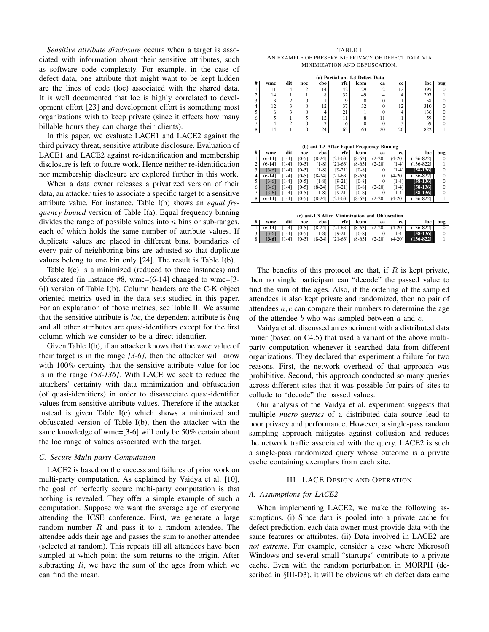*Sensitive attribute disclosure* occurs when a target is associated with information about their sensitive attributes, such as software code complexity. For example, in the case of defect data, one attribute that might want to be kept hidden are the lines of code (loc) associated with the shared data. It is well documented that loc is highly correlated to development effort [23] and development effort is something most organizations wish to keep private (since it effects how many billable hours they can charge their clients).

In this paper, we evaluate LACE1 and LACE2 against the third privacy threat, sensitive attribute disclosure. Evaluation of LACE1 and LACE2 against re-identification and membership disclosure is left to future work. Hence neither re-identification nor membership disclosure are explored further in this work.

When a data owner releases a privatized version of their data, an attacker tries to associate a specific target to a sensitive attribute value. For instance, Table I(b) shows an *equal frequency binned* version of Table I(a). Equal frequency binning divides the range of possible values into  $n$  bins or sub-ranges, each of which holds the same number of attribute values. If duplicate values are placed in different bins, boundaries of every pair of neighboring bins are adjusted so that duplicate values belong to one bin only [24]. The result is Table I(b).

Table I(c) is a minimized (reduced to three instances) and obfuscated (in instance #8, wmc=(6-14] changed to wmc=[3- 6]) version of Table I(b). Column headers are the C-K object oriented metrics used in the data sets studied in this paper. For an explanation of those metrics, see Table II. We assume that the sensitive attribute is *loc*, the dependent attribute is *bug* and all other attributes are quasi-identifiers except for the first column which we consider to be a direct identifier.

Given Table I(b), if an attacker knows that the *wmc* value of their target is in the range *[3-6]*, then the attacker will know with 100% certainty that the sensitive attribute value for loc is in the range *[58-136]*. With LACE we seek to reduce the attackers' certainty with data minimization and obfuscation (of quasi-identifiers) in order to disassociate quasi-identifier values from sensitive attribute values. Therefore if the attacker instead is given Table I(c) which shows a minimized and obfuscated version of Table I(b), then the attacker with the same knowledge of wmc=[3-6] will only be 50% certain about the loc range of values associated with the target.

## *C. Secure Multi-party Computation*

LACE2 is based on the success and failures of prior work on multi-party computation. As explained by Vaidya et al. [10], the goal of perfectly secure multi-party computation is that nothing is revealed. They offer a simple example of such a computation. Suppose we want the average age of everyone attending the ICSE conference. First, we generate a large random number  $R$  and pass it to a random attendee. The attendee adds their age and passes the sum to another attendee (selected at random). This repeats till all attendees have been sampled at which point the sum returns to the origin. After subtracting  $R$ , we have the sum of the ages from which we can find the mean.

| TABLE I                                             |  |  |  |  |  |  |
|-----------------------------------------------------|--|--|--|--|--|--|
| AN EXAMPLE OF PRESERVING PRIVACY OF DEFECT DATA VIA |  |  |  |  |  |  |
| MINIMIZATION AND OBFUSCATION.                       |  |  |  |  |  |  |

| (a) Partial ant-1.3 Defect Data |                                                |                         |                |                |           |          |              |                |               |                |
|---------------------------------|------------------------------------------------|-------------------------|----------------|----------------|-----------|----------|--------------|----------------|---------------|----------------|
| #                               | wmc                                            | dit                     | noc            | cbo            | rfc       | lcom     | ca           | ce             | loc           | <b>bug</b>     |
| 1                               | 11                                             | $\overline{4}$          | $\overline{c}$ | 14             | 42        | 29       | 2            | 12             | 395           | 0              |
| $\overline{c}$                  | 14                                             | 1                       | 1              | 8              | 32        | 49       | 4            | $\overline{4}$ | 297           | 1              |
| $\overline{\mathbf{3}}$         | 3                                              | $\overline{2}$          | $\theta$       | 1              | 9         | $\Omega$ | $\mathbf{0}$ | 1              | 58            | $\theta$       |
| $\overline{4}$                  | 12                                             | 3                       | $\theta$       | 12             | 37        | 32       | $\theta$     | 12             | 310           | $\Omega$       |
| 5                               | 6                                              | $\overline{\mathbf{3}}$ | $\mathbf{0}$   | $\overline{4}$ | 21        | 1        | $\mathbf{0}$ | $\overline{4}$ | 136           | $\overline{0}$ |
| 6                               | 5                                              | 1                       | 5              | 12             | 11        | 8        | 11           | 1              | 59            | $\mathbf{0}$   |
| $\overline{7}$                  | $\overline{4}$                                 | $\overline{2}$          | $\Omega$       | 3              | 16        | $\theta$ | $\theta$     | 3              | 59            | $\overline{0}$ |
| 8                               | 14                                             | 1                       | $\Omega$       | 24             | 63        | 63       | 20           | 20             | 822           | 1              |
|                                 | (b) ant-1.3 After Equal Frequency Binning      |                         |                |                |           |          |              |                |               |                |
| #                               | wmc.                                           | dit                     | noc            | cbo            | rfc       | lcom     | ca           | ce             | loc           | <b>bug</b>     |
| 1                               | $(6-14)$                                       | $[1-4]$                 | $[0-5]$        | $(8-24)$       | $(21-63)$ | $(8-63)$ | $(2-20)$     | $(4-20)$       | $(136 - 822)$ | $\Omega$       |
| $\overline{c}$                  | $(6-14)$                                       | $[1-4]$                 | $[0-5]$        | $[1-8]$        | $(21-63)$ | $(8-63]$ | $(2-20)$     | $[1-4]$        | $(136 - 822)$ | 1              |
| 3                               | $[3-6]$                                        | $[1-4]$                 | $[0-5]$        | $[1-8]$        | $[9-21]$  | $[0-8]$  | $\Omega$     | $[1-4]$        | $[58-136]$    | $\overline{0}$ |
| $\overline{4}$                  | $(6-14)$                                       | $[1-4]$                 | $[0-5]$        | $(8-24)$       | $(21-63)$ | $(8-63]$ | $\Omega$     | $(4-20)$       | $(136 - 822)$ | $\mathbf{0}$   |
| 5                               | $[3-6]$                                        | $[1-4]$                 | $[0-5]$        | $[1-8]$        | $[9-21]$  | $[0-8]$  | $\Omega$     | $[1-4]$        | $[58-136]$    | $\mathbf{0}$   |
| 6                               | $[3-6]$                                        | $[1-4]$                 | $[0-5]$        | $(8-24)$       | $[9-21]$  | $[0-8]$  | $(2-20)$     | $[1-4]$        | $[58-136]$    | $\mathbf{0}$   |
| $\overline{7}$                  | $[3-6]$                                        | $[1-4]$                 | $[0-5]$        | $[1-8]$        | $[9-21]$  | $[0-8]$  | $\Omega$     | $[1-4]$        | $[58-136]$    | $\mathbf{0}$   |
| 8                               | $(6-14)$                                       | $[1-4]$                 | $[0-5]$        | $(8-24)$       | $(21-63)$ | $(8-63]$ | $(2-20)$     | $(4-20)$       | $(136 - 822)$ | 1              |
|                                 | (c) ant-1.3 After Minimization and Obfuscation |                         |                |                |           |          |              |                |               |                |
| #                               | wmc                                            | dit                     | noc            | cbo            | rfc       | lcom     | ca           | ce             | loc           | bug            |
| 1                               | $(6-14)$                                       | $[1-4]$                 | $[0-5]$        | $(8-24)$       | $(21-63)$ | $(8-63)$ | $(2-20)$     | $(4-20)$       | $(136 - 822)$ | $\Omega$       |
| 3                               | $[3-6]$                                        | $[1-4]$                 | $[0-5]$        | $[1-8]$        | $[9-21]$  | $[0-8]$  | 0            | [1-4]          | $[58-136]$    | $\theta$       |
| 8                               | $[3-6]$                                        | $[1-4]$                 | $[0-5]$        | $(8-24)$       | $(21-63)$ | $(8-63]$ | $(2-20)$     | $(4-20)$       | $(136 - 822)$ | 1              |

The benefits of this protocol are that, if  $R$  is kept private, then no single participant can "decode" the passed value to find the sum of the ages. Also, if the ordering of the sampled attendees is also kept private and randomized, then no pair of attendees  $a, c$  can compare their numbers to determine the age of the attendee  $b$  who was sampled between  $a$  and  $c$ .

Vaidya et al. discussed an experiment with a distributed data miner (based on C4.5) that used a variant of the above multiparty computation whenever it searched data from different organizations. They declared that experiment a failure for two reasons. First, the network overhead of that approach was prohibitive. Second, this approach conducted so many queries across different sites that it was possible for pairs of sites to collude to "decode" the passed values.

Our analysis of the Vaidya et al. experiment suggests that multiple *micro-queries* of a distributed data source lead to poor privacy and performance. However, a single-pass random sampling approach mitigates against collusion and reduces the network traffic associated with the query. LACE2 is such a single-pass randomized query whose outcome is a private cache containing exemplars from each site.

#### III. LACE DESIGN AND OPERATION

## *A. Assumptions for LACE2*

When implementing LACE2, we make the following assumptions. (i) Since data is pooled into a private cache for defect prediction, each data owner must provide data with the same features or attributes. (ii) Data involved in LACE2 are *not extreme*. For example, consider a case where Microsoft Windows and several small "startups" contribute to a private cache. Even with the random perturbation in MORPH (described in §III-D3), it will be obvious which defect data came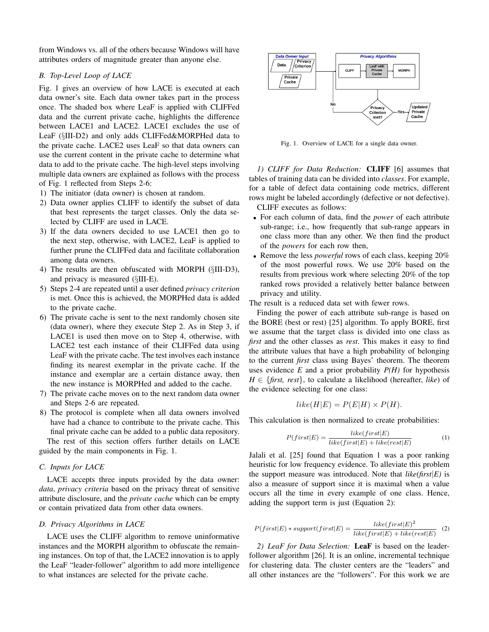from Windows vs. all of the others because Windows will have attributes orders of magnitude greater than anyone else.

# *B. Top-Level Loop of LACE*

Fig. 1 gives an overview of how LACE is executed at each data owner's site. Each data owner takes part in the process once. The shaded box where LeaF is applied with CLIFFed data and the current private cache, highlights the difference between LACE1 and LACE2. LACE1 excludes the use of LeaF (§III-D2) and only adds CLIFFed&MORPHed data to the private cache. LACE2 uses LeaF so that data owners can use the current content in the private cache to determine what data to add to the private cache. The high-level steps involving multiple data owners are explained as follows with the process of Fig. 1 reflected from Steps 2-6:

- 1) The initiator (data owner) is chosen at random.
- 2) Data owner applies CLIFF to identify the subset of data that best represents the target classes. Only the data selected by CLIFF are used in LACE.
- 3) If the data owners decided to use LACE1 then go to the next step, otherwise, with LACE2, LeaF is applied to further prune the CLIFFed data and facilitate collaboration among data owners.
- 4) The results are then obfuscated with MORPH (§III-D3), and privacy is measured (§III-E).
- 5) Steps 2-4 are repeated until a user defined *privacy criterion* is met. Once this is achieved, the MORPHed data is added to the private cache.
- 6) The private cache is sent to the next randomly chosen site (data owner), where they execute Step 2. As in Step 3, if LACE1 is used then move on to Step 4, otherwise, with LACE2 test each instance of their CLIFFed data using LeaF with the private cache. The test involves each instance finding its nearest exemplar in the private cache. If the instance and exemplar are a certain distance away, then the new instance is MORPHed and added to the cache.
- 7) The private cache moves on to the next random data owner and Steps 2-6 are repeated.
- 8) The protocol is complete when all data owners involved have had a chance to contribute to the private cache. This final private cache can be added to a public data repository.

The rest of this section offers further details on LACE guided by the main components in Fig. 1.

## *C. Inputs for LACE*

LACE accepts three inputs provided by the data owner: *data*, *privacy criteria* based on the privacy threat of sensitive attribute disclosure, and the *private cache* which can be empty or contain privatized data from other data owners.

## *D. Privacy Algorithms in LACE*

LACE uses the CLIFF algorithm to remove uninformative instances and the MORPH algorithm to obfuscate the remaining instances. On top of that, the LACE2 innovation is to apply the LeaF "leader-follower" algorithm to add more intelligence to what instances are selected for the private cache.



Fig. 1. Overview of LACE for a single data owner.

*1) CLIFF for Data Reduction:* CLIFF [6] assumes that tables of training data can be divided into *classes*. For example, for a table of defect data containing code metrics, different rows might be labeled accordingly (defective or not defective).

CLIFF executes as follows:

- For each column of data, find the *power* of each attribute sub-range; i.e., how frequently that sub-range appears in one class more than any other. We then find the product of the *powers* for each row then,
- Remove the less *powerful* rows of each class, keeping 20% of the most powerful rows. We use 20% based on the results from previous work where selecting 20% of the top ranked rows provided a relatively better balance between privacy and utility.

The result is a reduced data set with fewer rows.

Finding the power of each attribute sub-range is based on the BORE (best or rest) [25] algorithm. To apply BORE, first we assume that the target class is divided into one class as *first* and the other classes as *rest*. This makes it easy to find the attribute values that have a high probability of belonging to the current *first* class using Bayes' theorem. The theorem uses evidence  $E$  and a prior probability  $P(H)$  for hypothesis  $H \in \{$ first, rest $\}$ , to calculate a likelihood (hereafter, *like*) of the evidence selecting for one class:

$$
like(H|E) = P(E|H) \times P(H).
$$

This calculation is then normalized to create probabilities:

$$
P(first|E) = \frac{like(first|E)}{like(first|E) + like(reset|E)}\tag{1}
$$

Jalali et al. [25] found that Equation 1 was a poor ranking heuristic for low frequency evidence. To alleviate this problem the support measure was introduced. Note that *like(first*|*E)* is also a measure of support since it is maximal when a value occurs all the time in every example of one class. Hence, adding the support term is just (Equation 2):

$$
P(first|E) * support(first|E) = \frac{like(first|E)^{2}}{like(first|E) + like(rest|E)} \quad (2)
$$

*2) LeaF for Data Selection:* LeaF is based on the leaderfollower algorithm [26]. It is an online, incremental technique for clustering data. The cluster centers are the "leaders" and all other instances are the "followers". For this work we are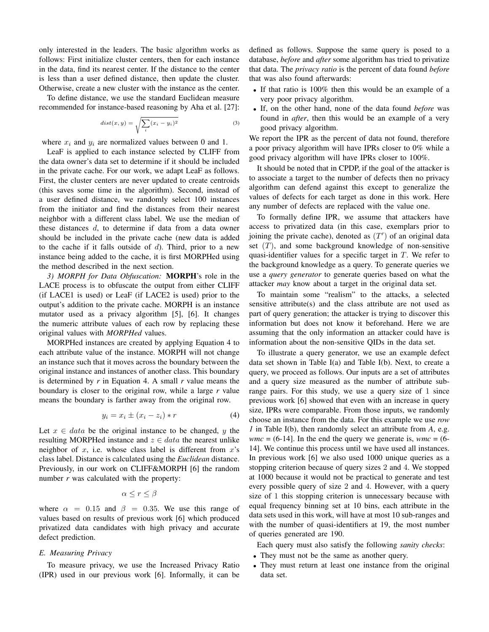only interested in the leaders. The basic algorithm works as follows: First initialize cluster centers, then for each instance in the data, find its nearest center. If the distance to the center is less than a user defined distance, then update the cluster. Otherwise, create a new cluster with the instance as the center.

To define distance, we use the standard Euclidean measure recommended for instance-based reasoning by Aha et al. [27]:

$$
dist(x,y) = \sqrt{\sum_{i} (x_i - y_i)^2}
$$
 (3)

where  $x_i$  and  $y_i$  are normalized values between 0 and 1.

LeaF is applied to each instance selected by CLIFF from the data owner's data set to determine if it should be included in the private cache. For our work, we adapt LeaF as follows. First, the cluster centers are never updated to create centroids (this saves some time in the algorithm). Second, instead of a user defined distance, we randomly select 100 instances from the initiator and find the distances from their nearest neighbor with a different class label. We use the median of these distances d, to determine if data from a data owner should be included in the private cache (new data is added to the cache if it falls outside of  $d$ ). Third, prior to a new instance being added to the cache, it is first MORPHed using the method described in the next section.

*3) MORPH for Data Obfuscation:* MORPH's role in the LACE process is to obfuscate the output from either CLIFF (if LACE1 is used) or LeaF (if LACE2 is used) prior to the output's addition to the private cache. MORPH is an instance mutator used as a privacy algorithm [5], [6]. It changes the numeric attribute values of each row by replacing these original values with *MORPHed* values.

MORPHed instances are created by applying Equation 4 to each attribute value of the instance. MORPH will not change an instance such that it moves across the boundary between the original instance and instances of another class. This boundary is determined by *r* in Equation 4. A small *r* value means the boundary is closer to the original row, while a large *r* value means the boundary is farther away from the original row.

$$
y_i = x_i \pm (x_i - z_i) * r \tag{4}
$$

Let  $x \in data$  be the original instance to be changed, y the resulting MORPHed instance and  $z \in data$  the nearest unlike neighbor of  $x$ , i.e. whose class label is different from  $x$ 's class label. Distance is calculated using the *Euclidean* distance. Previously, in our work on CLIFF&MORPH [6] the random number *r* was calculated with the property:

$$
\alpha \le r \le \beta
$$

where  $\alpha = 0.15$  and  $\beta = 0.35$ . We use this range of values based on results of previous work [6] which produced privatized data candidates with high privacy and accurate defect prediction.

# *E. Measuring Privacy*

To measure privacy, we use the Increased Privacy Ratio (IPR) used in our previous work [6]. Informally, it can be defined as follows. Suppose the same query is posed to a database, *before* and *after* some algorithm has tried to privatize that data. The *privacy ratio* is the percent of data found *before* that was also found afterwards:

- If that ratio is 100% then this would be an example of a very poor privacy algorithm.
- If, on the other hand, none of the data found *before* was found in *after*, then this would be an example of a very good privacy algorithm.

We report the IPR as the percent of data not found, therefore a poor privacy algorithm will have IPRs closer to 0% while a good privacy algorithm will have IPRs closer to 100%.

It should be noted that in CPDP, if the goal of the attacker is to associate a target to the number of defects then no privacy algorithm can defend against this except to generalize the values of defects for each target as done in this work. Here any number of defects are replaced with the value one.

To formally define IPR, we assume that attackers have access to privatized data (in this case, exemplars prior to joining the private cache), denoted as  $(T')$  of an original data set  $(T)$ , and some background knowledge of non-sensitive quasi-identifier values for a specific target in  $T$ . We refer to the background knowledge as a query. To generate queries we use a *query generator* to generate queries based on what the attacker *may* know about a target in the original data set.

To maintain some "realism" to the attacks, a selected sensitive attribute(s) and the class attribute are not used as part of query generation; the attacker is trying to discover this information but does not know it beforehand. Here we are assuming that the only information an attacker could have is information about the non-sensitive QIDs in the data set.

To illustrate a query generator, we use an example defect data set shown in Table I(a) and Table I(b). Next, to create a query, we proceed as follows. Our inputs are a set of attributes and a query size measured as the number of attribute subrange pairs. For this study, we use a query size of 1 since previous work [6] showed that even with an increase in query size, IPRs were comparable. From those inputs, we randomly choose an instance from the data. For this example we use *row 1* in Table I(b), then randomly select an attribute from *A*, e.g.  $wmc = (6-14)$ . In the end the query we generate is,  $wmc = (6-14)$ . 14]. We continue this process until we have used all instances. In previous work [6] we also used 1000 unique queries as a stopping criterion because of query sizes 2 and 4. We stopped at 1000 because it would not be practical to generate and test every possible query of size 2 and 4. However, with a query size of 1 this stopping criterion is unnecessary because with equal frequency binning set at 10 bins, each attribute in the data sets used in this work, will have at most 10 sub-ranges and with the number of quasi-identifiers at 19, the most number of queries generated are 190.

Each query must also satisfy the following *sanity checks*:

- They must not be the same as another query.
- They must return at least one instance from the original data set.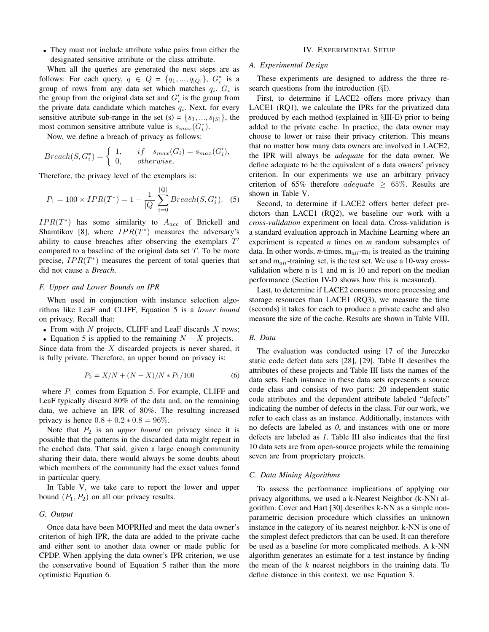• They must not include attribute value pairs from either the designated sensitive attribute or the class attribute.

When all the queries are generated the next steps are as follows: For each query,  $q \in Q = \{q_1, ..., q_{|Q|}\}\$ ,  $G_i^*$  is a group of rows from any data set which matches  $q_i$ .  $G_i$  is the group from the original data set and  $G'_{i}$  is the group from the private data candidate which matches  $q_i$ . Next, for every sensitive attribute sub-range in the set (s) =  $\{s_1, ..., s_{|S|}\}\$ , the most common sensitive attribute value is  $s_{max}(G_i^*).$ 

Now, we define a breach of privacy as follows:

$$
Breach(S, G_i^*) = \begin{cases} 1, & if \quad s_{max}(G_i) = s_{max}(G_i'), \\ 0, & otherwise. \end{cases}
$$

Therefore, the privacy level of the exemplars is:

$$
P_1 = 100 \times IPR(T^*) = 1 - \frac{1}{|Q|} \sum_{i=0}^{|Q|} Breach(S, G_i^*).
$$
 (5)

 $IPR(T^*)$  has some similarity to  $A_{acc}$  of Brickell and Shamtikov [8], where  $IPR(T^*)$  measures the adversary's ability to cause breaches after observing the exemplars  $T'$ compared to a baseline of the original data set  $T$ . To be more precise,  $IPR(T^*)$  measures the percent of total queries that did not cause a *Breach*.

#### *F. Upper and Lower Bounds on IPR*

When used in conjunction with instance selection algorithms like LeaF and CLIFF, Equation 5 is a *lower bound* on privacy. Recall that:

- From with  $N$  projects, CLIFF and LeaF discards  $X$  rows;
- Equation 5 is applied to the remaining  $N X$  projects.

Since data from the  $X$  discarded projects is never shared, it is fully private. Therefore, an upper bound on privacy is:

$$
P_2 = X/N + (N - X)/N \cdot P_1/100\tag{6}
$$

where  $P_1$  comes from Equation 5. For example, CLIFF and LeaF typically discard 80% of the data and, on the remaining data, we achieve an IPR of 80%. The resulting increased privacy is hence  $0.8 + 0.2 * 0.8 = 96\%$ .

Note that  $P_2$  is an *upper bound* on privacy since it is possible that the patterns in the discarded data might repeat in the cached data. That said, given a large enough community sharing their data, there would always be some doubts about which members of the community had the exact values found in particular query.

In Table V, we take care to report the lower and upper bound  $(P_1, P_2)$  on all our privacy results.

## *G. Output*

Once data have been MOPRHed and meet the data owner's criterion of high IPR, the data are added to the private cache and either sent to another data owner or made public for CPDP. When applying the data owner's IPR criterion, we use the conservative bound of Equation 5 rather than the more optimistic Equation 6.

#### IV. EXPERIMENTAL SETUP

## *A. Experimental Design*

These experiments are designed to address the three research questions from the introduction (§I).

First, to determine if LACE2 offers more privacy than LACE1 (RQ1), we calculate the IPRs for the privatized data produced by each method (explained in §III-E) prior to being added to the private cache. In practice, the data owner may choose to lower or raise their privacy criterion. This means that no matter how many data owners are involved in LACE2, the IPR will always be *adequate* for the data owner. We define adequate to be the equivalent of a data owners' privacy criterion. In our experiments we use an arbitrary privacy criterion of 65% therefore *adequate*  $\geq$  65%. Results are shown in Table V.

Second, to determine if LACE2 offers better defect predictors than LACE1 (RQ2), we baseline our work with a *cross-validation* experiment on local data. Cross-validation is a standard evaluation approach in Machine Learning where an experiment is repeated *n* times on *m* random subsamples of data. In other words,  $n$ -times,  $m_{all}$ - $m_i$  is treated as the training set and  $m_{all}$ -training set, is the test set. We use a 10-way crossvalidation where n is 1 and m is 10 and report on the median performance (Section IV-D shows how this is measured).

Last, to determine if LACE2 consumes more processing and storage resources than LACE1 (RQ3), we measure the time (seconds) it takes for each to produce a private cache and also measure the size of the cache. Results are shown in Table VIII.

## *B. Data*

The evaluation was conducted using 17 of the Jureczko static code defect data sets [28], [29]. Table II describes the attributes of these projects and Table III lists the names of the data sets. Each instance in these data sets represents a source code class and consists of two parts: 20 independent static code attributes and the dependent attribute labeled "defects" indicating the number of defects in the class. For our work, we refer to each class as an instance. Additionally, instances with no defects are labeled as *0*, and instances with one or more defects are labeled as *1*. Table III also indicates that the first 10 data sets are from open-source projects while the remaining seven are from proprietary projects.

#### *C. Data Mining Algorithms*

To assess the performance implications of applying our privacy algorithms, we used a k-Nearest Neighbor (k-NN) algorithm. Cover and Hart [30] describes k-NN as a simple nonparametric decision procedure which classifies an unknown instance in the category of its nearest neighbor. k-NN is one of the simplest defect predictors that can be used. It can therefore be used as a baseline for more complicated methods. A k-NN algorithm generates an estimate for a test instance by finding the mean of the  $k$  nearest neighbors in the training data. To define distance in this context, we use Equation 3.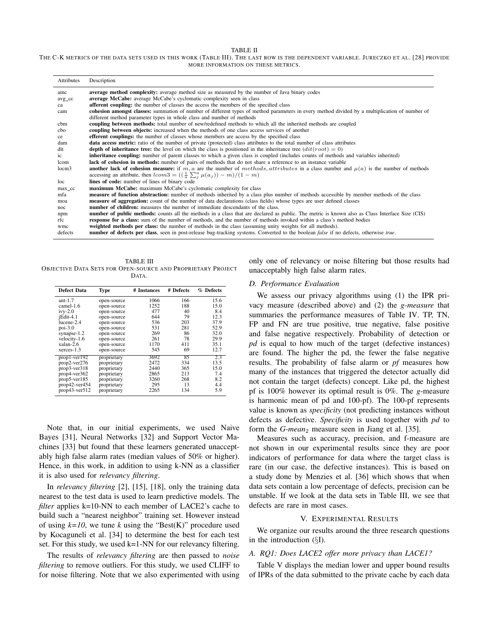#### TABLE II

| THE C-K METRICS OF THE DATA SETS USED IN THIS WORK (TABLE III). THE LAST ROW IS THE DEPENDENT VARIABLE. JURECZKO ET AL. [28] PROVIDE |  |
|--------------------------------------------------------------------------------------------------------------------------------------|--|
| MORE INFORMATION ON THESE METRICS.                                                                                                   |  |

| Attributes        | Description                                                                                                                                                                                                             |
|-------------------|-------------------------------------------------------------------------------------------------------------------------------------------------------------------------------------------------------------------------|
| amc               | <b>average method complexity:</b> average method size as measured by the number of Java binary codes                                                                                                                    |
| avg_cc            | <b>average McCabe:</b> average McCabe's cyclomatic complexity seen in class                                                                                                                                             |
| ca                | <b>afferent coupling:</b> the number of classes the access the members of the specified class                                                                                                                           |
| cam               | cohesion amongst classes: summation of number of different types of method parameters in every method divided by a multiplication of number of<br>different method parameter types in whole class and number of methods |
| cbm               | coupling between methods: total number of new/redefined methods to which all the inherited methods are coupled                                                                                                          |
| cbo               | coupling between objects: increased when the methods of one class access services of another                                                                                                                            |
| ce                | <b>efferent couplings:</b> the number of classes whose members are access by the specified class                                                                                                                        |
| dam               | <b>data access metric:</b> ratio of the number of private (protected) class attributes to the total number of class attributes                                                                                          |
| dit               | <b>depth of inheritance tree:</b> the level on which the class is positioned in the inheritance tree $(itt(root) = 0)$                                                                                                  |
| ic                | <b>inheritance coupling:</b> number of parent classes to which a given class is coupled (includes counts of methods and variables inherited)                                                                            |
| lcom              | lack of cohesion in methods: number of pairs of methods that do not share a reference to an instance variable                                                                                                           |
| locm <sub>3</sub> | <b>another lack of cohesion measure:</b> if m, a are the number of methods, attributes in a class number and $\mu(a)$ is the number of methods                                                                          |
|                   | accessing an attribute, then $lcom3 = ((\frac{1}{a}\sum_{i}^{a}\mu(a_i)) - m)/(1 - m)$                                                                                                                                  |
| loc               | lines of code: number of lines of binary code                                                                                                                                                                           |
| max_cc            | <b>maximum McCabe:</b> maximum McCabe's cyclomatic complexity for class                                                                                                                                                 |
| mfa               | measure of function abstraction: number of methods inherited by a class plus number of methods accessible by member methods of the class                                                                                |
| moa               | measure of aggregation: count of the number of data declarations (class fields) whose types are user defined classes                                                                                                    |
| noc               | <b>number of children:</b> measures the number of immediate descendants of the class.                                                                                                                                   |
| npm               | number of public methods: counts all the methods in a class that are declared as public. The metric is known also as Class Interface Size (CIS)                                                                         |
| rfc               | <b>response for a class:</b> sum of the number of methods, and the number of methods invoked within a class's method bodies                                                                                             |
| wmc               | weighted methods per class: the number of methods in the class (assuming unity weights for all methods).                                                                                                                |
| defects           | number of defects per class, seen in post-release bug-tracking systems. Converted to the boolean <i>false</i> if no defects, otherwise true.                                                                            |

TABLE III OBJECTIVE DATA SETS FOR OPEN-SOURCE AND PROPRIETARY PROJECT DATA.

| <b>Defect Data</b> | Type        | # Instances | # Defects | % Defects |
|--------------------|-------------|-------------|-----------|-----------|
| ant- $1.7$         | open-source | 1066        | 166       | 15.6      |
| camel-1.6          | open-source | 1252        | 188       | 15.0      |
| $i$ vy-2.0         | open-source | 477         | 40        | 8.4       |
| jEdit-4.1          | open-source | 644         | 79        | 12.3      |
| lucene-2.4         | open-source | 536         | 203       | 37.9      |
| $poi-3.0$          | open-source | 531         | 281       | 52.9      |
| synapse- $1.2$     | open-source | 269         | 86        | 32.0      |
| velocity-1.6       | open-source | 261         | 78        | 29.9      |
| xalan-2.6          | open-source | 1170        | 411       | 35.1      |
| $x$ erces-1.3      | open-source | 545         | 69        | 12.7      |
| $prop1-ver192$     | proprietary | 3692        | 85        | 2.3       |
| $prop2-ver276$     | proprietary | 2472        | 334       | 13.5      |
| $prop3-ver318$     | proprietary | 2440        | 365       | 15.0      |
| $prop4-ver362$     | proprietary | 2865        | 213       | 7.4       |
| $prop5-ver185$     | proprietary | 3260        | 268       | 8.2       |
| $prop42-ver454$    | proprietary | 295         | 13        | 4.4       |
| $prop43-ver512$    | proprietary | 2265        | 134       | 5.9       |

Note that, in our initial experiments, we used Naive Bayes [31], Neural Networks [32] and Support Vector Machines [33] but found that these learners generated unacceptably high false alarm rates (median values of 50% or higher). Hence, in this work, in addition to using k-NN as a classifier it is also used for *relevancy filtering*.

In *relevancy filtering* [2], [15], [18], only the training data nearest to the test data is used to learn predictive models. The *filter* applies k=10-NN to each member of LACE2's cache to build such a "nearest neighbor" training set. However instead of using  $k=10$ , we tune *k* using the "Best(K)" procedure used by Kocaguneli et al. [34] to determine the best for each test set. For this study, we used k=1-NN for our relevancy filtering.

The results of *relevancy filtering* are then passed to *noise filtering* to remove outliers. For this study, we used CLIFF to for noise filtering. Note that we also experimented with using

only one of relevancy or noise filtering but those results had unacceptably high false alarm rates.

## *D. Performance Evaluation*

We assess our privacy algorithms using (1) the IPR privacy measure (described above) and (2) the *g-measure* that summaries the performance measures of Table IV. TP, TN, FP and FN are true positive, true negative, false positive and false negative respectively. Probability of detection or *pd* is equal to how much of the target (defective instances) are found. The higher the pd, the fewer the false negative results. The probability of false alarm or *pf* measures how many of the instances that triggered the detector actually did not contain the target (defects) concept. Like pd, the highest pf is 100% however its optimal result is 0%. The *g*-measure is harmonic mean of pd and 100-pf). The 100-pf represents value is known as *specificity* (not predicting instances without defects as defective. *Specificity* is used together with *pd* to form the *G-mean*<sub>2</sub> measure seen in Jiang et al. [35].

Measures such as accuracy, precision, and f-measure are not shown in our experimental results since they are poor indicators of performance for data where the target class is rare (in our case, the defective instances). This is based on a study done by Menzies et al. [36] which shows that when data sets contain a low percentage of defects, precision can be unstable. If we look at the data sets in Table III, we see that defects are rare in most cases.

#### V. EXPERIMENTAL RESULTS

We organize our results around the three research questions in the introduction (§I).

#### *A. RQ1: Does LACE2 offer more privacy than LACE1?*

Table V displays the median lower and upper bound results of IPRs of the data submitted to the private cache by each data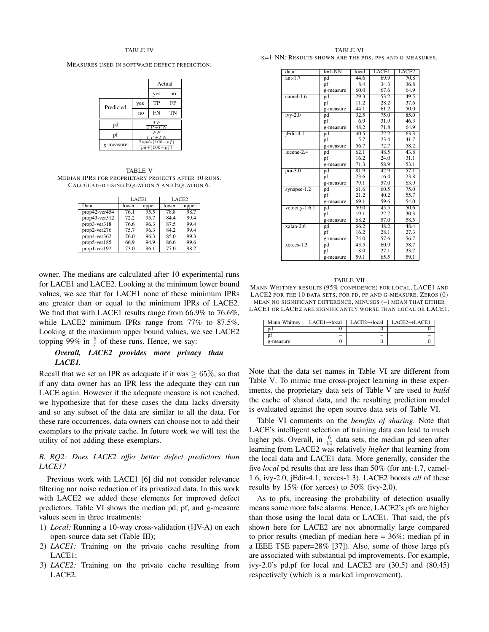#### TABLE IV

MEASURES USED IN SOFTWARE DEFECT PREDICTION.

|           |                                        | Actual    |    |  |
|-----------|----------------------------------------|-----------|----|--|
|           |                                        | yes       | no |  |
| Predicted | yes                                    | TP        | FP |  |
|           | no                                     | <b>FN</b> | TN |  |
| pd        | $TP + FN$                              |           |    |  |
| pf        | F P<br>$FP+TN$                         |           |    |  |
| g-measure | $2 * pd * (100 - pf)$<br>$pd+(100-pf)$ |           |    |  |

TABLE V MEDIAN IPRS FOR PROPRIETARY PROJECTS AFTER 10 RUNS. CALCULATED USING EQUATION 5 AND EQUATION 6.

|                 | LACE1 |       |       | LACE2 |
|-----------------|-------|-------|-------|-------|
| Data            | lower | upper | lower | upper |
| $prop42-ver454$ | 76.1  | 95.5  | 78.8  | 98.7  |
| $prop43-ver512$ | 72.2  | 95.7  | 84.4  | 99.4  |
| prop3-ver318    | 76.6  | 96.3  | 87.5  | 99.4  |
| prop2-ver276    | 75.7  | 96.3  | 84.2  | 99.4  |
| prop4-ver362    | 76.0  | 96.3  | 85.0  | 99.3  |
| prop5-ver185    | 66.9  | 94.9  | 86.6  | 99.6  |
| prop1-ver192    | 73.0  | 96.1  | 77.0  | 98.7  |

owner. The medians are calculated after 10 experimental runs for LACE1 and LACE2. Looking at the minimum lower bound values, we see that for LACE1 none of these minimum IPRs are greater than or equal to the minimum IPRs of LACE2. We find that with LACE1 results range from 66.9% to 76.6%, while LACE2 minimum IPRs range from 77% to 87.5%. Looking at the maximum upper bound values, we see LACE2 topping 99% in  $\frac{5}{7}$  of these runs. Hence, we say:

# *Overall, LACE2 provides more privacy than LACE1.*

Recall that we set an IPR as adequate if it was  $> 65\%$ , so that if any data owner has an IPR less the adequate they can run LACE again. However if the adequate measure is not reached, we hypothesize that for these cases the data lacks diversity and so any subset of the data are similar to all the data. For these rare occurrences, data owners can choose not to add their exemplars to the private cache. In future work we will test the utility of not adding these exemplars.

# *B. RQ2: Does LACE2 offer better defect predictors than LACE1?*

Previous work with LACE1 [6] did not consider relevance filtering nor noise reduction of its privatized data. In this work with LACE2 we added these elements for improved defect predictors. Table VI shows the median pd, pf, and g-measure values seen in three treatments:

- 1) *Local:* Running a 10-way cross-validation (§IV-A) on each open-source data set (Table III);
- 2) *LACE1:* Training on the private cache resulting from LACE1;
- 3) *LACE2:* Training on the private cache resulting from LACE2.

TABLE VI K=1-NN: RESULTS SHOWN ARE THE PDS, PFS AND G-MEASURES.

| data           | $k=1-NN$  | local             | LACE1             | LACE <sub>2</sub> |
|----------------|-----------|-------------------|-------------------|-------------------|
| $ant-1.7$      | pd        | 44.6              | 69.9              | 70.8              |
|                | pf        | 8.4               | 34.3              | 36.8              |
|                | g-measure | 60.0              | 67.6              | 64.9              |
| $camel-1.6$    | pd        | $\overline{29.3}$ | $\overline{53.2}$ | 49.5              |
|                | pf        | 11.2              | 28.2              | 37.6              |
|                | g-measure | 44.1              | 61.2              | 50.0              |
| $ivy-2.0$      | pd        | 32.5              | 75.0              | 85.0              |
|                | pf        | 6.9               | 31.9              | 46.3              |
|                | g-measure | 48.2              | 71.8              | 64.9              |
| $i$ Edit-4.1   | pd        | 40.5              | 72.2              | 63.3              |
|                | pf        | 5.7               | 23.4              | 41.7              |
|                | g-measure | 56.7              | 72.7              | 58.2              |
| $lucene-2.4$   | pd        | 62.1              | 48.5              | 43.8              |
|                | pf        | 16.2              | 24.0              | 31.1              |
|                | g-measure | 71.3              | 58.9              | 53.1              |
| $poi-3.0$      | pd        | 81.9              | 42.9              | 57.1              |
|                | pf        | 23.6              | 16.4              | 23.8              |
|                | g-measure | 79.1              | 57.0              | 63.9              |
| synapse- $1.2$ | pd        | 61.6              | 60.5              | 75.0              |
|                | pf        | 21.2              | 40.2              | 55.7              |
|                | g-measure | 69.1              | 59.6              | 54.0              |
| velocity-1.6.1 | pd        | 59.0              | 45.5              | 50.6              |
|                | pf        | 19.1              | 22.7              | 30.3              |
|                | g-measure | 68.2              | 57.0              | 58.5              |
| $xalan-2.6$    | pd        | 66.2              | 48.2              | 48.4              |
|                | pf        | 16.2              | 28.1              | 27.3              |
|                | g-measure | 74.0              | 57.6              | 56.7              |
| $x$ erces-1.3  | pd        | 43.5              | 60.9              | 58.7              |
|                | pf        | 8.0               | 27.1              | 33.7              |
|                | g-measure | 59.1              | 65.5              | 59.1              |

#### TABLE VII

MANN WHITNEY RESULTS (95% CONFIDENCE) FOR LOCAL, LACE1 AND LACE2 FOR THE 10 DATA SETS, FOR PD, PF AND G-MEASURE. ZEROS (0) MEAN NO SIGNIFICANT DIFFERENCE, MINUSES (–) MEAN THAT EITHER LACE1 OR LACE2 ARE SIGNIFICANTLY WORSE THAN LOCAL OR LACE1.

| Mann Whitney | $LACE1 \rightarrow local$ | $LACE2 \rightarrow local$ | $LACE2 \rightarrow LACE1$ |
|--------------|---------------------------|---------------------------|---------------------------|
| Ďď           |                           |                           |                           |
|              | $\overline{\phantom{a}}$  | $\overline{\phantom{a}}$  | -                         |
| g-measure    |                           |                           |                           |

Note that the data set names in Table VI are different from Table V. To mimic true cross-project learning in these experiments, the proprietary data sets of Table V are used to *build* the cache of shared data, and the resulting prediction model is evaluated against the open source data sets of Table VI.

Table VI comments on the *benefits of sharing*. Note that LACE's intelligent selection of training data can lead to much higher pds. Overall, in  $\frac{6}{10}$  data sets, the median pd seen after learning from LACE2 was relatively *higher* that learning from the local data and LACE1 data. More generally, consider the five *local* pd results that are less than 50% (for ant-1.7, camel-1.6, ivy-2.0, jEdit-4.1, xerces-1.3). LACE2 boosts *all* of these results by 15% (for xerces) to 50% (ivy-2.0).

As to pfs, increasing the probability of detection usually means some more false alarms. Hence, LACE2's pfs are higher than those using the local data or LACE1. That said, the pfs shown here for LACE2 are not abnormally large compared to prior results (median pf median here = 36%; median pf in a IEEE TSE paper=28% [37]). Also, some of those large pfs are associated with substantial pd improvements. For example, ivy-2.0's pd,pf for local and LACE2 are (30,5) and (80,45) respectively (which is a marked improvement).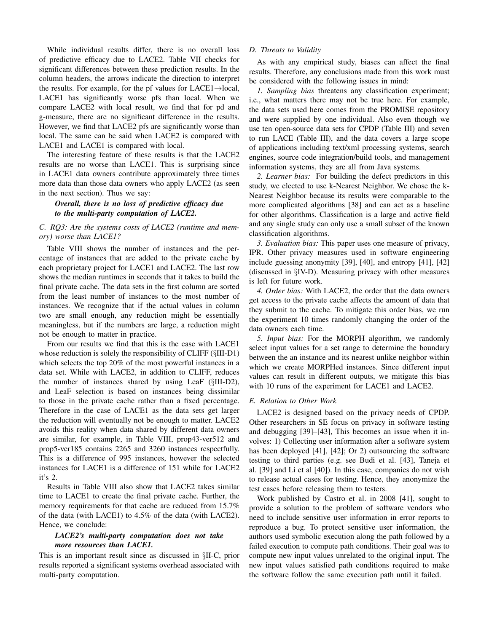While individual results differ, there is no overall loss of predictive efficacy due to LACE2. Table VII checks for significant differences between these prediction results. In the column headers, the arrows indicate the direction to interpret the results. For example, for the pf values for LACE1→local, LACE1 has significantly worse pfs than local. When we compare LACE2 with local result, we find that for pd and g-measure, there are no significant difference in the results. However, we find that LACE2 pfs are significantly worse than local. The same can be said when LACE2 is compared with LACE1 and LACE1 is compared with local.

The interesting feature of these results is that the LACE2 results are no worse than LACE1. This is surprising since in LACE1 data owners contribute approximately three times more data than those data owners who apply LACE2 (as seen in the next section). Thus we say:

# *Overall, there is no loss of predictive efficacy due to the multi-party computation of LACE2.*

# *C. RQ3: Are the systems costs of LACE2 (runtime and memory) worse than LACE1?*

Table VIII shows the number of instances and the percentage of instances that are added to the private cache by each proprietary project for LACE1 and LACE2. The last row shows the median runtimes in seconds that it takes to build the final private cache. The data sets in the first column are sorted from the least number of instances to the most number of instances. We recognize that if the actual values in column two are small enough, any reduction might be essentially meaningless, but if the numbers are large, a reduction might not be enough to matter in practice.

From our results we find that this is the case with LACE1 whose reduction is solely the responsibility of CLIFF ( $\S$ III-D1) which selects the top 20% of the most powerful instances in a data set. While with LACE2, in addition to CLIFF, reduces the number of instances shared by using LeaF (§III-D2), and LeaF selection is based on instances being dissimilar to those in the private cache rather than a fixed percentage. Therefore in the case of LACE1 as the data sets get larger the reduction will eventually not be enough to matter. LACE2 avoids this reality when data shared by different data owners are similar, for example, in Table VIII, prop43-ver512 and prop5-ver185 contains 2265 and 3260 instances respectfully. This is a difference of 995 instances, however the selected instances for LACE1 is a difference of 151 while for LACE2 it's 2.

Results in Table VIII also show that LACE2 takes similar time to LACE1 to create the final private cache. Further, the memory requirements for that cache are reduced from 15.7% of the data (with LACE1) to 4.5% of the data (with LACE2). Hence, we conclude:

# *LACE2's multi-party computation does not take more resources than LACE1.*

This is an important result since as discussed in §II-C, prior results reported a significant systems overhead associated with multi-party computation.

# *D. Threats to Validity*

As with any empirical study, biases can affect the final results. Therefore, any conclusions made from this work must be considered with the following issues in mind:

*1. Sampling bias* threatens any classification experiment; i.e., what matters there may not be true here. For example, the data sets used here comes from the PROMISE repository and were supplied by one individual. Also even though we use ten open-source data sets for CPDP (Table III) and seven to run LACE (Table III), and the data covers a large scope of applications including text/xml processing systems, search engines, source code integration/build tools, and management information systems, they are all from Java systems.

*2. Learner bias:* For building the defect predictors in this study, we elected to use k-Nearest Neighbor. We chose the k-Nearest Neighbor because its results were comparable to the more complicated algorithms [38] and can act as a baseline for other algorithms. Classification is a large and active field and any single study can only use a small subset of the known classification algorithms.

*3. Evaluation bias:* This paper uses one measure of privacy, IPR. Other privacy measures used in software engineering include guessing anonymity [39], [40], and entropy [41], [42] (discussed in §IV-D). Measuring privacy with other measures is left for future work.

*4. Order bias:* With LACE2, the order that the data owners get access to the private cache affects the amount of data that they submit to the cache. To mitigate this order bias, we run the experiment 10 times randomly changing the order of the data owners each time.

*5. Input bias:* For the MORPH algorithm, we randomly select input values for a set range to determine the boundary between the an instance and its nearest unlike neighbor within which we create MORPHed instances. Since different input values can result in different outputs, we mitigate this bias with 10 runs of the experiment for LACE1 and LACE2.

# *E. Relation to Other Work*

LACE2 is designed based on the privacy needs of CPDP. Other researchers in SE focus on privacy in software testing and debugging [39]–[43], This becomes an issue when it involves: 1) Collecting user information after a software system has been deployed [41], [42]; Or 2) outsourcing the software testing to third parties (e.g. see Budi et al. [43], Taneja et al. [39] and Li et al [40]). In this case, companies do not wish to release actual cases for testing. Hence, they anonymize the test cases before releasing them to testers.

Work published by Castro et al. in 2008 [41], sought to provide a solution to the problem of software vendors who need to include sensitive user information in error reports to reproduce a bug. To protect sensitive user information, the authors used symbolic execution along the path followed by a failed execution to compute path conditions. Their goal was to compute new input values unrelated to the original input. The new input values satisfied path conditions required to make the software follow the same execution path until it failed.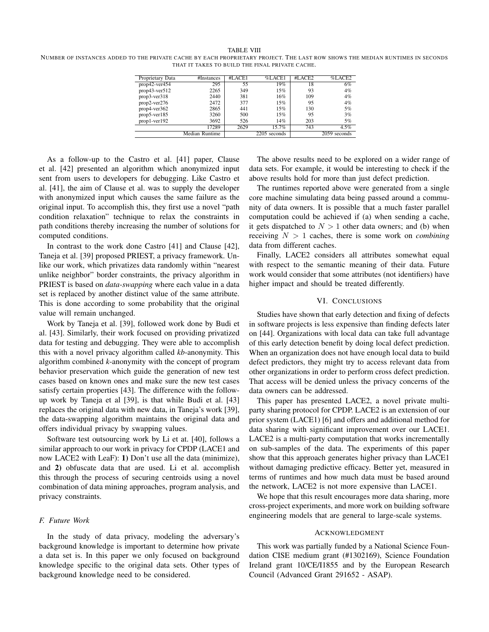#### TABLE VIII

NUMBER OF INSTANCES ADDED TO THE PRIVATE CACHE BY EACH PROPRIETARY PROJECT. THE LAST ROW SHOWS THE MEDIAN RUNTIMES IN SECONDS THAT IT TAKES TO BUILD THE FINAL PRIVATE CACHE.

| Proprietary Data | #Instances     | #LACE1 | %LACE1       | #LACE2 | %LACE2       |
|------------------|----------------|--------|--------------|--------|--------------|
| $prop42-ver454$  | 295            | 55     | 19%          | 18     | 6%           |
| $prop43-ver512$  | 2265           | 349    | 15%          | 93     | 4%           |
| $prop3-ver318$   | 2440           | 381    | 16%          | 109    | 4%           |
| $prop2-ver276$   | 2472           | 377    | 15%          | 95     | 4%           |
| $prop4-ver362$   | 2865           | 441    | 15%          | 130    | 5%           |
| $prop5-ver185$   | 3260           | 500    | 15%          | 95     | 3%           |
| $prop1-ver192$   | 3692           | 526    | 14%          | 203    | 5%           |
|                  | 17289          | 2629   | 15.7%        | 743    | 4.5%         |
|                  | Median Runtime |        | 2205 seconds |        | 2059 seconds |

As a follow-up to the Castro et al. [41] paper, Clause et al. [42] presented an algorithm which anonymized input sent from users to developers for debugging. Like Castro et al. [41], the aim of Clause et al. was to supply the developer with anonymized input which causes the same failure as the original input. To accomplish this, they first use a novel "path condition relaxation" technique to relax the constraints in path conditions thereby increasing the number of solutions for computed conditions.

In contrast to the work done Castro [41] and Clause [42], Taneja et al. [39] proposed PRIEST, a privacy framework. Unlike our work, which privatizes data randomly within "nearest unlike neighbor" border constraints, the privacy algorithm in PRIEST is based on *data-swapping* where each value in a data set is replaced by another distinct value of the same attribute. This is done according to some probability that the original value will remain unchanged.

Work by Taneja et al. [39], followed work done by Budi et al. [43]. Similarly, their work focused on providing privatized data for testing and debugging. They were able to accomplish this with a novel privacy algorithm called *kb*-anonymity. This algorithm combined *k*-anonymity with the concept of program behavior preservation which guide the generation of new test cases based on known ones and make sure the new test cases satisfy certain properties [43]. The difference with the followup work by Taneja et al [39], is that while Budi et al. [43] replaces the original data with new data, in Taneja's work [39], the data-swapping algorithm maintains the original data and offers individual privacy by swapping values.

Software test outsourcing work by Li et at. [40], follows a similar approach to our work in privacy for CPDP (LACE1 and now LACE2 with LeaF): 1) Don't use all the data (minimize), and 2) obfuscate data that are used. Li et al. accomplish this through the process of securing centroids using a novel combination of data mining approaches, program analysis, and privacy constraints.

## *F. Future Work*

In the study of data privacy, modeling the adversary's background knowledge is important to determine how private a data set is. In this paper we only focused on background knowledge specific to the original data sets. Other types of background knowledge need to be considered.

The above results need to be explored on a wider range of data sets. For example, it would be interesting to check if the above results hold for more than just defect prediction.

The runtimes reported above were generated from a single core machine simulating data being passed around a community of data owners. It is possible that a much faster parallel computation could be achieved if (a) when sending a cache, it gets dispatched to  $N > 1$  other data owners; and (b) when receiving  $N > 1$  caches, there is some work on *combining* data from different caches.

Finally, LACE2 considers all attributes somewhat equal with respect to the semantic meaning of their data. Future work would consider that some attributes (not identifiers) have higher impact and should be treated differently.

#### VI. CONCLUSIONS

Studies have shown that early detection and fixing of defects in software projects is less expensive than finding defects later on [44]. Organizations with local data can take full advantage of this early detection benefit by doing local defect prediction. When an organization does not have enough local data to build defect predictors, they might try to access relevant data from other organizations in order to perform cross defect prediction. That access will be denied unless the privacy concerns of the data owners can be addressed.

This paper has presented LACE2, a novel private multiparty sharing protocol for CPDP. LACE2 is an extension of our prior system (LACE1) [6] and offers and additional method for data sharing with significant improvement over our LACE1. LACE2 is a multi-party computation that works incrementally on sub-samples of the data. The experiments of this paper show that this approach generates higher privacy than LACE1 without damaging predictive efficacy. Better yet, measured in terms of runtimes and how much data must be based around the network, LACE2 is not more expensive than LACE1.

We hope that this result encourages more data sharing, more cross-project experiments, and more work on building software engineering models that are general to large-scale systems.

#### ACKNOWLEDGMENT

This work was partially funded by a National Science Foundation CISE medium grant (#1302169), Science Foundation Ireland grant 10/CE/I1855 and by the European Research Council (Advanced Grant 291652 - ASAP).